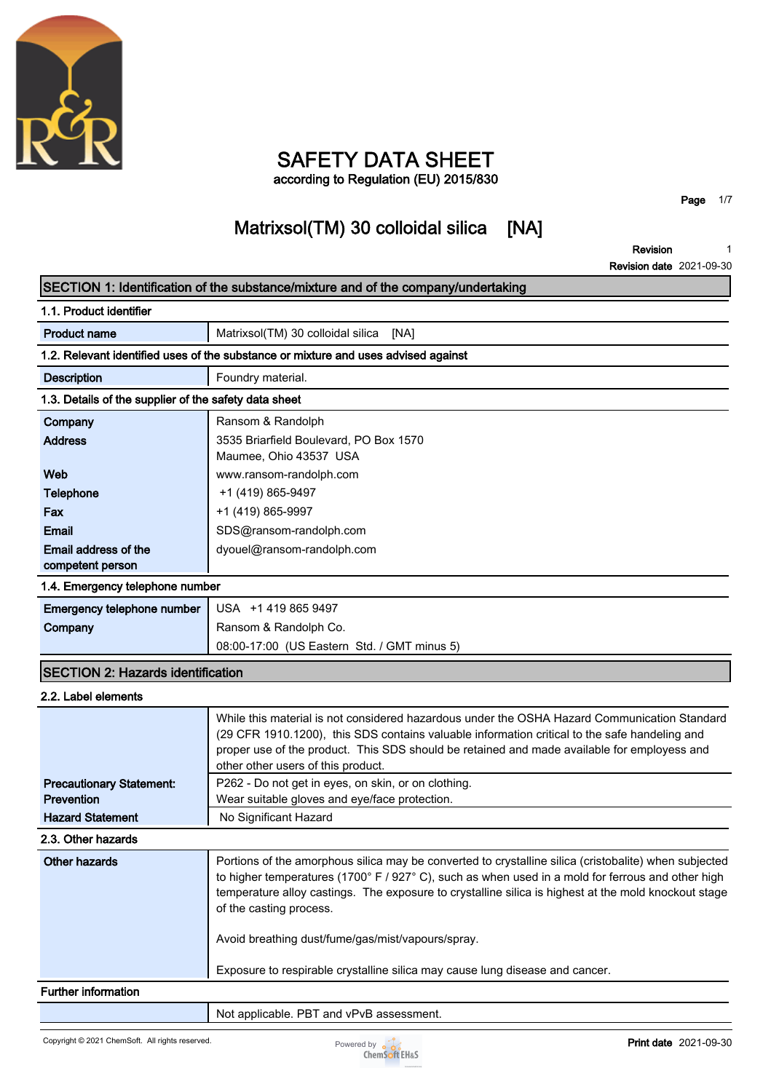

# **SAFETY DATA SHEET**

**according to Regulation (EU) 2015/830**

**Matrixsol(TM) 30 colloidal silica [NA]**

**Revision Revision date 2021-09-30 1**

**Page 1/7**

|                                                       | SECTION 1: Identification of the substance/mixture and of the company/undertaking                                                                                                                                                                                                                                                                                                                  |
|-------------------------------------------------------|----------------------------------------------------------------------------------------------------------------------------------------------------------------------------------------------------------------------------------------------------------------------------------------------------------------------------------------------------------------------------------------------------|
| 1.1. Product identifier                               |                                                                                                                                                                                                                                                                                                                                                                                                    |
| <b>Product name</b>                                   | Matrixsol(TM) 30 colloidal silica<br>[NA]                                                                                                                                                                                                                                                                                                                                                          |
|                                                       | 1.2. Relevant identified uses of the substance or mixture and uses advised against                                                                                                                                                                                                                                                                                                                 |
| <b>Description</b>                                    | Foundry material.                                                                                                                                                                                                                                                                                                                                                                                  |
| 1.3. Details of the supplier of the safety data sheet |                                                                                                                                                                                                                                                                                                                                                                                                    |
| Company                                               | Ransom & Randolph                                                                                                                                                                                                                                                                                                                                                                                  |
| <b>Address</b>                                        | 3535 Briarfield Boulevard, PO Box 1570<br>Maumee, Ohio 43537 USA                                                                                                                                                                                                                                                                                                                                   |
| Web                                                   | www.ransom-randolph.com                                                                                                                                                                                                                                                                                                                                                                            |
| <b>Telephone</b>                                      | +1 (419) 865-9497                                                                                                                                                                                                                                                                                                                                                                                  |
| Fax                                                   | +1 (419) 865-9997                                                                                                                                                                                                                                                                                                                                                                                  |
| <b>Email</b>                                          | SDS@ransom-randolph.com                                                                                                                                                                                                                                                                                                                                                                            |
| Email address of the<br>competent person              | dyouel@ransom-randolph.com                                                                                                                                                                                                                                                                                                                                                                         |
| 1.4. Emergency telephone number                       |                                                                                                                                                                                                                                                                                                                                                                                                    |
| Emergency telephone number                            | USA +1 419 865 9497                                                                                                                                                                                                                                                                                                                                                                                |
| Company                                               | Ransom & Randolph Co.                                                                                                                                                                                                                                                                                                                                                                              |
|                                                       | 08:00-17:00 (US Eastern Std. / GMT minus 5)                                                                                                                                                                                                                                                                                                                                                        |
| <b>SECTION 2: Hazards identification</b>              |                                                                                                                                                                                                                                                                                                                                                                                                    |
| 2.2. Label elements                                   |                                                                                                                                                                                                                                                                                                                                                                                                    |
| <b>Precautionary Statement:</b>                       | While this material is not considered hazardous under the OSHA Hazard Communication Standard<br>(29 CFR 1910.1200), this SDS contains valuable information critical to the safe handeling and<br>proper use of the product. This SDS should be retained and made available for employess and<br>other other users of this product.<br>P262 - Do not get in eyes, on skin, or on clothing.          |
| Prevention                                            | Wear suitable gloves and eye/face protection.                                                                                                                                                                                                                                                                                                                                                      |
| <b>Hazard Statement</b>                               | No Significant Hazard                                                                                                                                                                                                                                                                                                                                                                              |
| 2.3. Other hazards                                    |                                                                                                                                                                                                                                                                                                                                                                                                    |
| <b>Other hazards</b>                                  | Portions of the amorphous silica may be converted to crystalline silica (cristobalite) when subjected<br>to higher temperatures (1700° F / 927° C), such as when used in a mold for ferrous and other high<br>temperature alloy castings. The exposure to crystalline silica is highest at the mold knockout stage<br>of the casting process.<br>Avoid breathing dust/fume/gas/mist/vapours/spray. |
|                                                       | Exposure to respirable crystalline silica may cause lung disease and cancer.                                                                                                                                                                                                                                                                                                                       |
| <b>Further information</b>                            |                                                                                                                                                                                                                                                                                                                                                                                                    |
|                                                       | Not applicable. PBT and vPvB assessment.                                                                                                                                                                                                                                                                                                                                                           |

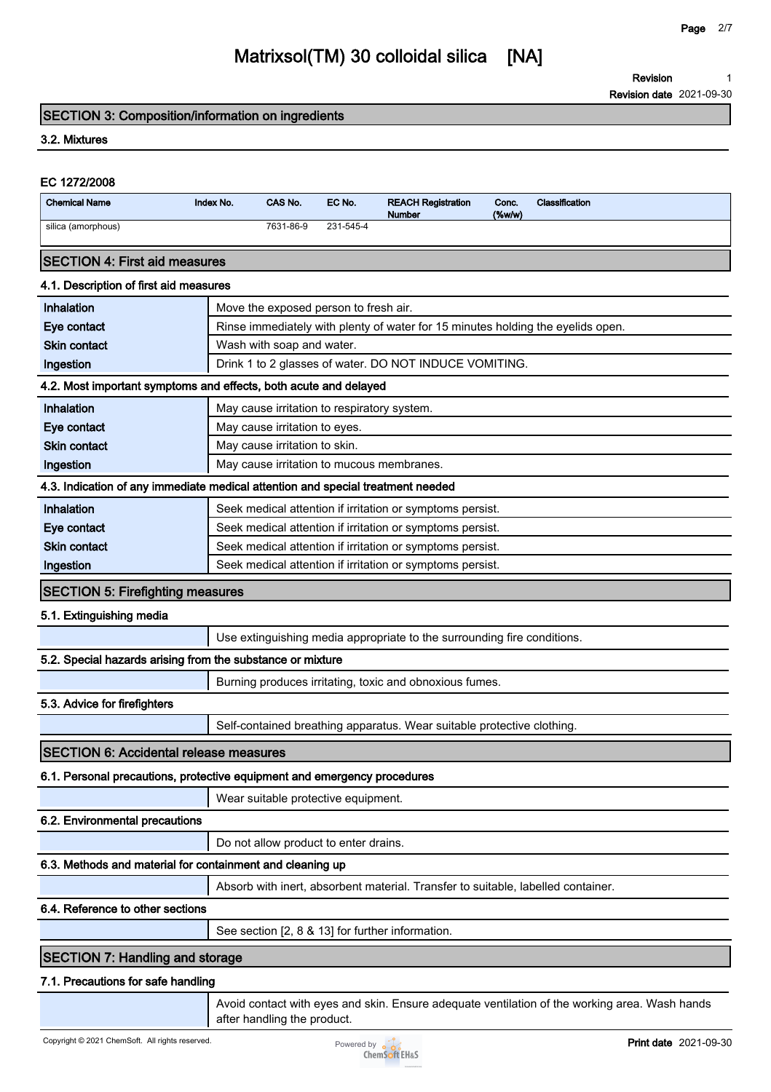**Revision 1**

**Revision date 2021-09-30**

#### **SECTION 3: Composition/information on ingredients**

#### **3.2. Mixtures**

| EC 1272/2008                                                                    |           |                               |                                             |                                                                                 |                    |                |
|---------------------------------------------------------------------------------|-----------|-------------------------------|---------------------------------------------|---------------------------------------------------------------------------------|--------------------|----------------|
| <b>Chemical Name</b>                                                            | Index No. | CAS No.                       | EC No.                                      | <b>REACH Registration</b><br><b>Number</b>                                      | Conc.<br>$(\%w/w)$ | Classification |
| silica (amorphous)                                                              |           | 7631-86-9                     | 231-545-4                                   |                                                                                 |                    |                |
| <b>ISECTION 4: First aid measures</b>                                           |           |                               |                                             |                                                                                 |                    |                |
| 4.1. Description of first aid measures                                          |           |                               |                                             |                                                                                 |                    |                |
| Inhalation                                                                      |           |                               | Move the exposed person to fresh air.       |                                                                                 |                    |                |
| Eye contact                                                                     |           |                               |                                             | Rinse immediately with plenty of water for 15 minutes holding the eyelids open. |                    |                |
| <b>Skin contact</b>                                                             |           | Wash with soap and water.     |                                             |                                                                                 |                    |                |
| Ingestion                                                                       |           |                               |                                             | Drink 1 to 2 glasses of water. DO NOT INDUCE VOMITING.                          |                    |                |
| 4.2. Most important symptoms and effects, both acute and delayed                |           |                               |                                             |                                                                                 |                    |                |
| Inhalation                                                                      |           |                               | May cause irritation to respiratory system. |                                                                                 |                    |                |
| Eye contact                                                                     |           | May cause irritation to eyes. |                                             |                                                                                 |                    |                |
| <b>Skin contact</b>                                                             |           | May cause irritation to skin. |                                             |                                                                                 |                    |                |
| Ingestion                                                                       |           |                               |                                             | May cause irritation to mucous membranes.                                       |                    |                |
| 4.3. Indication of any immediate medical attention and special treatment needed |           |                               |                                             |                                                                                 |                    |                |

| Inhalation          | Seek medical attention if irritation or symptoms persist. |
|---------------------|-----------------------------------------------------------|
| Eye contact         | Seek medical attention if irritation or symptoms persist. |
| <b>Skin contact</b> | Seek medical attention if irritation or symptoms persist. |
| Ingestion           | Seek medical attention if irritation or symptoms persist. |

#### **SECTION 5: Firefighting measures**

#### **5.1. Extinguishing media**

**Use extinguishing media appropriate to the surrounding fire conditions.**

#### **5.2. Special hazards arising from the substance or mixture**

**Burning produces irritating, toxic and obnoxious fumes.**

**5.3. Advice for firefighters**

**Self-contained breathing apparatus. Wear suitable protective clothing.**

#### **SECTION 6: Accidental release measures**

#### **6.1. Personal precautions, protective equipment and emergency procedures**

**Wear suitable protective equipment.**

#### **6.2. Environmental precautions**

**Do not allow product to enter drains.**

#### **6.3. Methods and material for containment and cleaning up**

**Absorb with inert, absorbent material. Transfer to suitable, labelled container.**

#### **6.4. Reference to other sections**

**See section [2, 8 & 13] for further information.**

### **SECTION 7: Handling and storage**

#### **7.1. Precautions for safe handling**

**Avoid contact with eyes and skin. Ensure adequate ventilation of the working area. Wash hands after handling the product.**

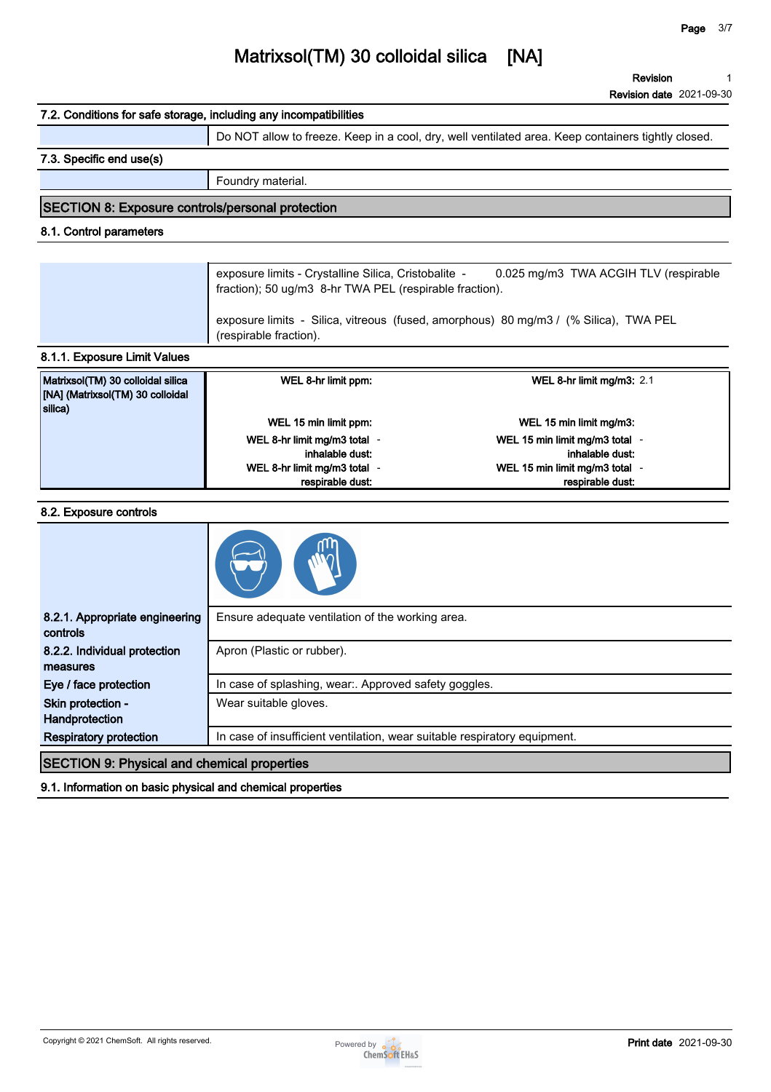**1**

**Revision**

### **Matrixsol(TM) 30 colloidal silica [NA]**

**Revision date 2021-09-30 7.2. Conditions for safe storage, including any incompatibilities Do NOT allow to freeze. Keep in a cool, dry, well ventilated area. Keep containers tightly closed. 7.3. Specific end use(s) Foundry material. SECTION 8: Exposure controls/personal protection 8.1. Control parameters exposure limits - Crystalline Silica, Cristobalite - 0.025 mg/m3 TWA ACGIH TLV (respirable fraction); 50 ug/m3 8-hr TWA PEL (respirable fraction). exposure limits - Silica, vitreous (fused, amorphous) 80 mg/m3 / (% Silica), TWA PEL (respirable fraction). 8.1.1. Exposure Limit Values Matrixsol(TM) 30 colloidal silica [NA] (Matrixsol(TM) 30 colloidal silica) WEL 8-hr limit ppm: WEL 8-hr limit mg/m3: 2.1 WEL 15 min limit ppm: WEL 15 min limit mg/m3: WEL 8-hr limit mg/m3 total inhalable dust: - WEL 15 min limit mg/m3 total inhalable dust: - WEL 8-hr limit mg/m3 total respirable dust: - WEL 15 min limit mg/m3 total respirable dust: - 8.2. Exposure controls 8.2.1. Appropriate engineering Ensure adequate ventilation of the working area.**

| <b>controls</b>                                    |                                                                           |
|----------------------------------------------------|---------------------------------------------------------------------------|
| 8.2.2. Individual protection                       | Apron (Plastic or rubber).                                                |
| measures                                           |                                                                           |
| Eye / face protection                              | In case of splashing, wear:. Approved safety goggles.                     |
| Skin protection -                                  | Wear suitable gloves.                                                     |
| Handprotection                                     |                                                                           |
| <b>Respiratory protection</b>                      | In case of insufficient ventilation, wear suitable respiratory equipment. |
| <b>SECTION 9: Physical and chemical properties</b> |                                                                           |
|                                                    |                                                                           |

**9.1. Information on basic physical and chemical properties**

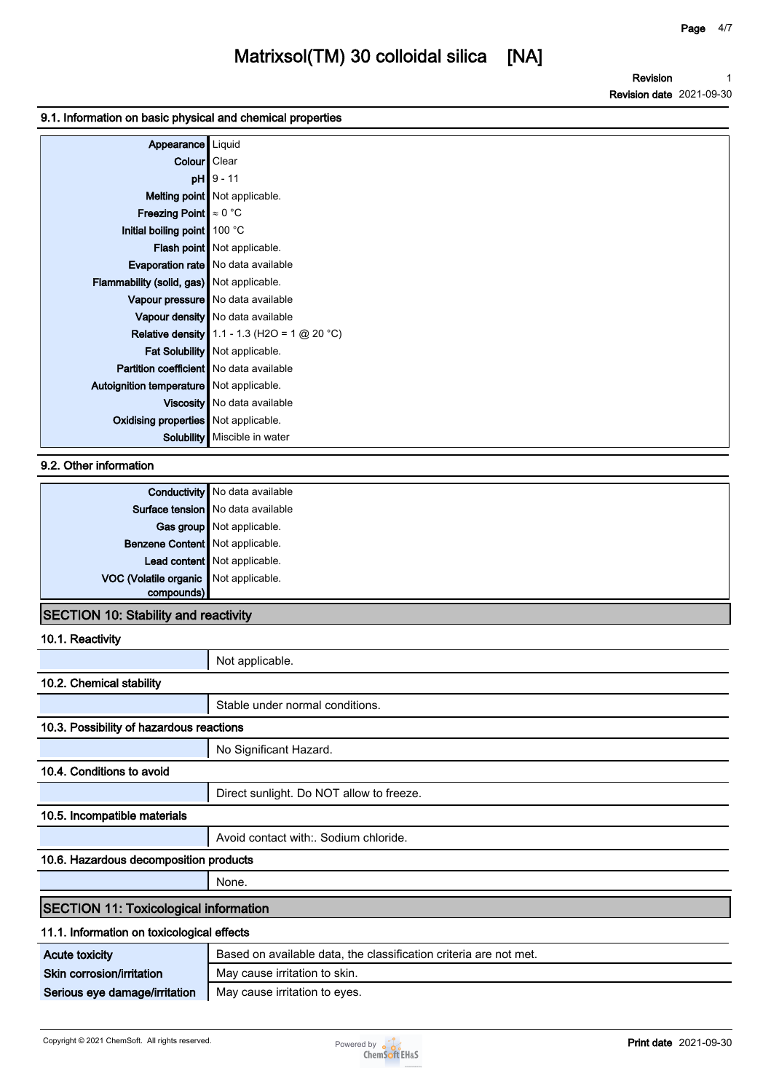**Revision Revision date 2021-09-30 1**

#### **9.1. Information on basic physical and chemical properties**

| Appearance   Liquid                            |                                                       |
|------------------------------------------------|-------------------------------------------------------|
| Colour   Clear                                 |                                                       |
|                                                | $pH$ 9 - 11                                           |
|                                                | <b>Melting point</b> Not applicable.                  |
| <b>Freezing Point</b> $\approx 0$ °C           |                                                       |
| Initial boiling point   100 °C                 |                                                       |
|                                                | Flash point   Not applicable.                         |
|                                                | <b>Evaporation rate</b> No data available             |
| Flammability (solid, gas) Not applicable.      |                                                       |
|                                                | Vapour pressure   No data available                   |
|                                                | Vapour density   No data available                    |
|                                                | <b>Relative density</b> 1.1 - 1.3 (H2O = 1 $@$ 20 °C) |
|                                                | Fat Solubility   Not applicable.                      |
| <b>Partition coefficient</b> No data available |                                                       |
| Autoignition temperature   Not applicable.     |                                                       |
|                                                | Viscosity   No data available                         |
| <b>Oxidising properties</b> Not applicable.    |                                                       |
|                                                | Solubility   Miscible in water                        |

#### **9.2. Other information**

|                                                     | <b>Conductivity</b> No data available |
|-----------------------------------------------------|---------------------------------------|
|                                                     | Surface tension No data available     |
|                                                     | Gas group Not applicable.             |
| Benzene Content Not applicable.                     |                                       |
|                                                     | Lead content Not applicable.          |
| VOC (Volatile organic Not applicable.<br>compounds) |                                       |
|                                                     |                                       |
| -------                                             | .                                     |

#### **SECTION 10: Stability and reactivity**

**10.1. Reactivity**

|                                              | Not applicable.                                                   |  |
|----------------------------------------------|-------------------------------------------------------------------|--|
| 10.2. Chemical stability                     |                                                                   |  |
|                                              | Stable under normal conditions.                                   |  |
| 10.3. Possibility of hazardous reactions     |                                                                   |  |
|                                              | No Significant Hazard.                                            |  |
| 10.4. Conditions to avoid                    |                                                                   |  |
|                                              | Direct sunlight. Do NOT allow to freeze.                          |  |
| 10.5. Incompatible materials                 |                                                                   |  |
|                                              | Avoid contact with: Sodium chloride.                              |  |
| 10.6. Hazardous decomposition products       |                                                                   |  |
|                                              | None.                                                             |  |
| <b>SECTION 11: Toxicological information</b> |                                                                   |  |
| 11.1. Information on toxicological effects   |                                                                   |  |
| <b>Acute toxicity</b>                        | Based on available data, the classification criteria are not met. |  |
| Skin corrosion/irritation                    | May cause irritation to skin.                                     |  |
|                                              |                                                                   |  |

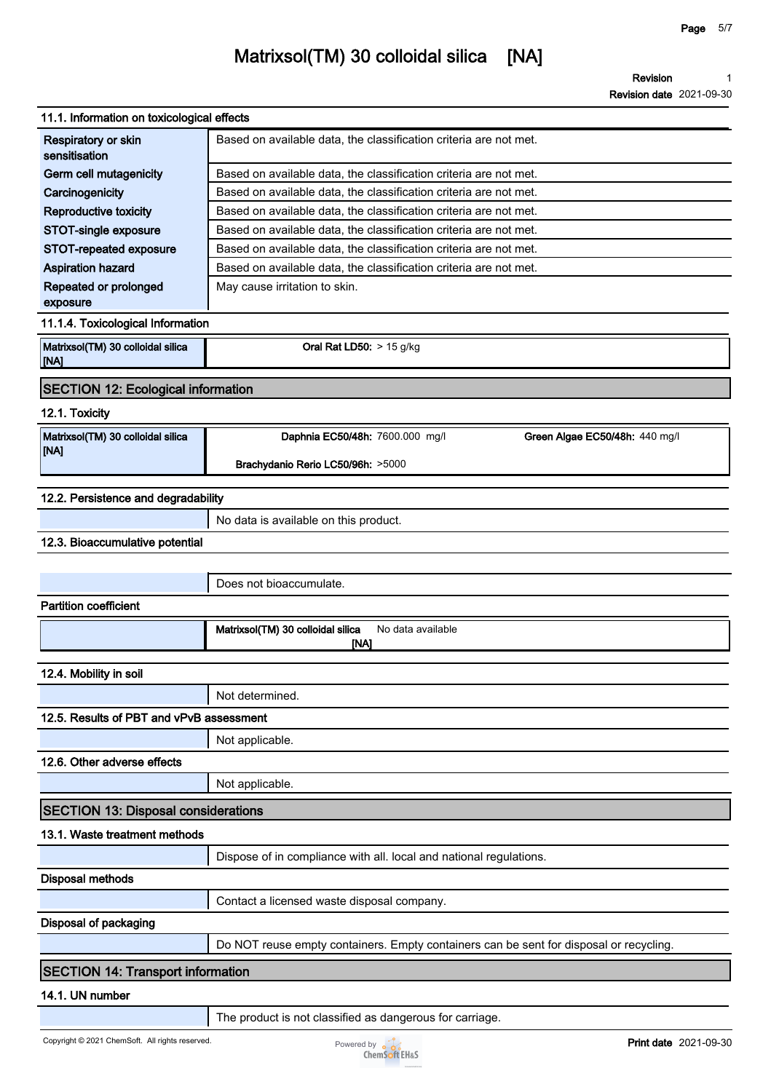|                                            | NGVISION UQUG ZUZT-UJ-JI                                          |
|--------------------------------------------|-------------------------------------------------------------------|
| 11.1. Information on toxicological effects |                                                                   |
| Respiratory or skin<br>sensitisation       | Based on available data, the classification criteria are not met. |
| Germ cell mutagenicity                     | Based on available data, the classification criteria are not met. |
| Carcinogenicity                            | Based on available data, the classification criteria are not met. |
| <b>Reproductive toxicity</b>               | Based on available data, the classification criteria are not met. |
| STOT-single exposure                       | Based on available data, the classification criteria are not met. |
| STOT-repeated exposure                     | Based on available data, the classification criteria are not met. |
| <b>Aspiration hazard</b>                   | Based on available data, the classification criteria are not met. |
| Repeated or prolonged<br>exposure          | May cause irritation to skin.                                     |
| 11.1.4. Toxicological Information          |                                                                   |
| Matrixsol(TM) 30 colloidal silica<br>[NA]  | Oral Rat LD50: $> 15$ g/kg                                        |
| <b>SECTION 12: Ecological information</b>  |                                                                   |
| 12.1. Toxicity                             |                                                                   |
| Matrixsol(TM) 30 colloidal silica<br>[NA]  | Daphnia EC50/48h: 7600.000 mg/l<br>Green Algae EC50/48h: 440 mg/l |
|                                            | Brachydanio Rerio LC50/96h: >5000                                 |
| 12.2. Persistence and degradability        |                                                                   |
|                                            | No data is available on this product.                             |
| 12.3. Bioaccumulative potential            |                                                                   |
|                                            |                                                                   |
|                                            | Does not bioaccumulate.                                           |
| <b>Partition coefficient</b>               |                                                                   |
|                                            | Matrixsol(TM) 30 colloidal silica<br>No data available<br>[NA]    |
| 12.4. Mobility in soil                     |                                                                   |
|                                            | Not determined.                                                   |
| 12.5. Results of PBT and vPvB assessment   |                                                                   |
|                                            | Not applicable.                                                   |
| $400 \Omega$                               |                                                                   |

**12.6. Other adverse effects**

**Not applicable.**

### **SECTION 13: Disposal considerations**

#### **13.1. Waste treatment methods**

|                       | Dispose of in compliance with all. local and national regulations.                     |
|-----------------------|----------------------------------------------------------------------------------------|
| Disposal methods      |                                                                                        |
|                       | Contact a licensed waste disposal company.                                             |
| Disposal of packaging |                                                                                        |
|                       | Do NOT reuse empty containers. Empty containers can be sent for disposal or recycling. |

#### **SECTION 14: Transport information**

#### **14.1. UN number**

**The product is not classified as dangerous for carriage.**

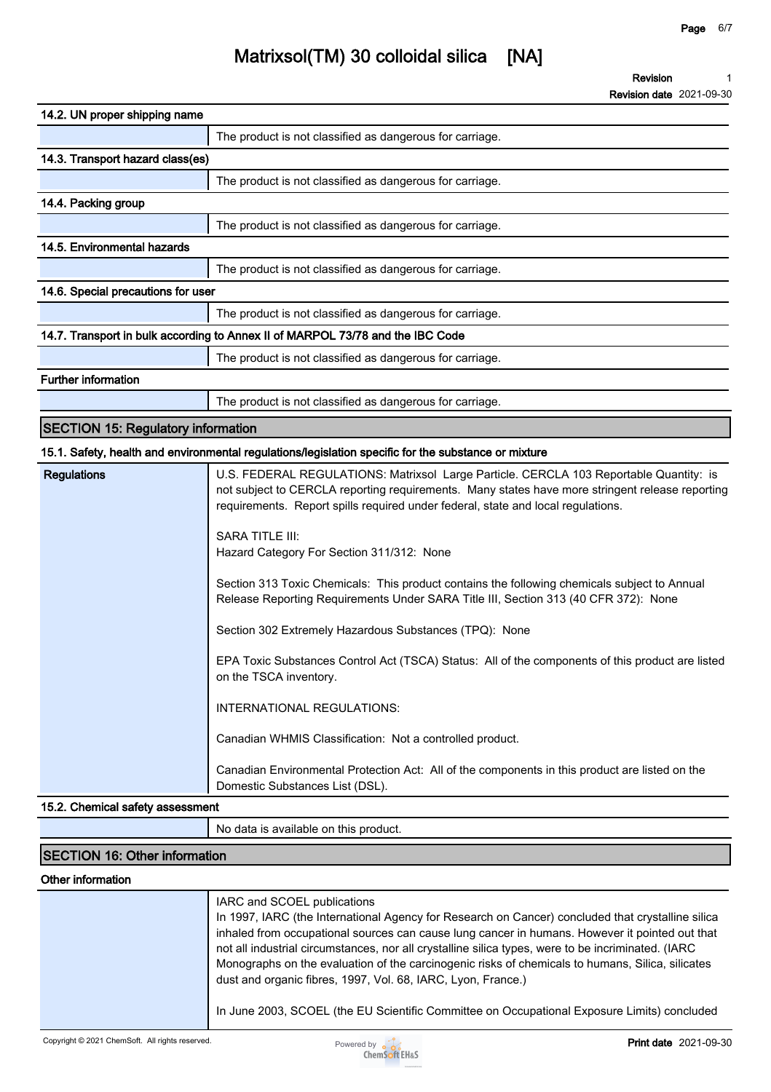| 14.2. UN proper shipping name                                                  |                                                          |  |  |
|--------------------------------------------------------------------------------|----------------------------------------------------------|--|--|
|                                                                                | The product is not classified as dangerous for carriage. |  |  |
| 14.3. Transport hazard class(es)                                               |                                                          |  |  |
|                                                                                | The product is not classified as dangerous for carriage. |  |  |
| 14.4. Packing group                                                            |                                                          |  |  |
|                                                                                | The product is not classified as dangerous for carriage. |  |  |
| 14.5. Environmental hazards                                                    |                                                          |  |  |
|                                                                                | The product is not classified as dangerous for carriage. |  |  |
| 14.6. Special precautions for user                                             |                                                          |  |  |
|                                                                                | The product is not classified as dangerous for carriage. |  |  |
| 14.7. Transport in bulk according to Annex II of MARPOL 73/78 and the IBC Code |                                                          |  |  |
|                                                                                | The product is not classified as dangerous for carriage. |  |  |
| <b>Further information</b>                                                     |                                                          |  |  |
|                                                                                | The product is not classified as dangerous for carriage. |  |  |

### **SECTION 15: Regulatory information**

#### **15.1. Safety, health and environmental regulations/legislation specific for the substance or mixture**

| <b>Regulations</b> | U.S. FEDERAL REGULATIONS: Matrixsol Large Particle. CERCLA 103 Reportable Quantity: is<br>not subject to CERCLA reporting requirements. Many states have more stringent release reporting<br>requirements. Report spills required under federal, state and local regulations. |
|--------------------|-------------------------------------------------------------------------------------------------------------------------------------------------------------------------------------------------------------------------------------------------------------------------------|
|                    | <b>SARA TITLE III:</b><br>Hazard Category For Section 311/312: None                                                                                                                                                                                                           |
|                    | Section 313 Toxic Chemicals: This product contains the following chemicals subject to Annual<br>Release Reporting Requirements Under SARA Title III, Section 313 (40 CFR 372): None                                                                                           |
|                    | Section 302 Extremely Hazardous Substances (TPQ): None                                                                                                                                                                                                                        |
|                    | EPA Toxic Substances Control Act (TSCA) Status: All of the components of this product are listed<br>on the TSCA inventory.                                                                                                                                                    |
|                    | <b>INTERNATIONAL REGULATIONS:</b>                                                                                                                                                                                                                                             |
|                    | Canadian WHMIS Classification: Not a controlled product.                                                                                                                                                                                                                      |
|                    | Canadian Environmental Protection Act: All of the components in this product are listed on the<br>Domestic Substances List (DSL).                                                                                                                                             |

#### **15.2. Chemical safety assessment**

**No data is available on this product.**

#### **SECTION 16: Other information**

#### **Other information**

| IARC and SCOEL publications<br>In 1997, IARC (the International Agency for Research on Cancer) concluded that crystalline silica<br>inhaled from occupational sources can cause lung cancer in humans. However it pointed out that<br>not all industrial circumstances, nor all crystalline silica types, were to be incriminated. (IARC<br>Monographs on the evaluation of the carcinogenic risks of chemicals to humans, Silica, silicates<br>dust and organic fibres, 1997, Vol. 68, IARC, Lyon, France.) |
|--------------------------------------------------------------------------------------------------------------------------------------------------------------------------------------------------------------------------------------------------------------------------------------------------------------------------------------------------------------------------------------------------------------------------------------------------------------------------------------------------------------|
| In June 2003, SCOEL (the EU Scientific Committee on Occupational Exposure Limits) concluded                                                                                                                                                                                                                                                                                                                                                                                                                  |